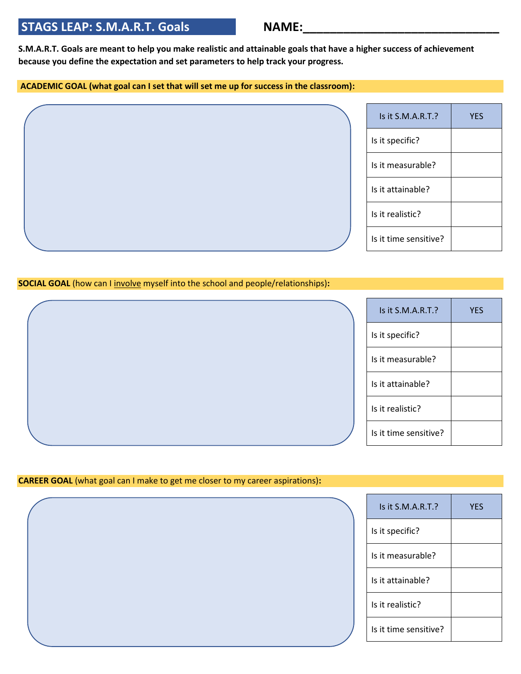## STAGS LEAP: S.M.A.R.T. Goals **NAME:**

**S.M.A.R.T. Goals are meant to help you make realistic and attainable goals that have a higher success of achievement because you define the expectation and set parameters to help track your progress.** 

## **ACADEMIC GOAL (what goal can I set that will set me up for success in the classroom):**

| Is it S.M.A.R.T.?     | <b>YES</b> |
|-----------------------|------------|
| Is it specific?       |            |
| Is it measurable?     |            |
| Is it attainable?     |            |
| Is it realistic?      |            |
| Is it time sensitive? |            |

## **SOCIAL GOAL** (how can I involve myself into the school and people/relationships):

| Is it S.M.A.R.T.?     | <b>YES</b> |
|-----------------------|------------|
| Is it specific?       |            |
| Is it measurable?     |            |
| Is it attainable?     |            |
| Is it realistic?      |            |
| Is it time sensitive? |            |

## **CAREER GOAL** (what goal can I make to get me closer to my career aspirations)**:**

| Is it S.M.A.R.T.?     | <b>YES</b> |
|-----------------------|------------|
| Is it specific?       |            |
| Is it measurable?     |            |
| Is it attainable?     |            |
| Is it realistic?      |            |
| Is it time sensitive? |            |